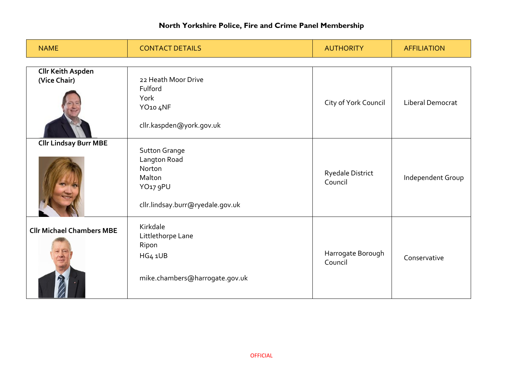| <b>NAME</b>                              | <b>CONTACT DETAILS</b>                                                                                        | <b>AUTHORITY</b>             | <b>AFFILIATION</b>      |
|------------------------------------------|---------------------------------------------------------------------------------------------------------------|------------------------------|-------------------------|
|                                          |                                                                                                               |                              |                         |
| <b>Cllr Keith Aspden</b><br>(Vice Chair) | 22 Heath Moor Drive<br>Fulford<br>York<br>YO10 4NF<br>cllr.kaspden@york.gov.uk                                | City of York Council         | <b>Liberal Democrat</b> |
| <b>Cllr Lindsay Burr MBE</b>             | Sutton Grange<br>Langton Road<br>Norton<br>Malton<br>YO <sub>17</sub> 9PU<br>cllr.lindsay.burr@ryedale.gov.uk | Ryedale District<br>Council  | Independent Group       |
| <b>Cllr Michael Chambers MBE</b>         | Kirkdale<br>Littlethorpe Lane<br>Ripon<br>HG4 1UB<br>mike.chambers@harrogate.gov.uk                           | Harrogate Borough<br>Council | Conservative            |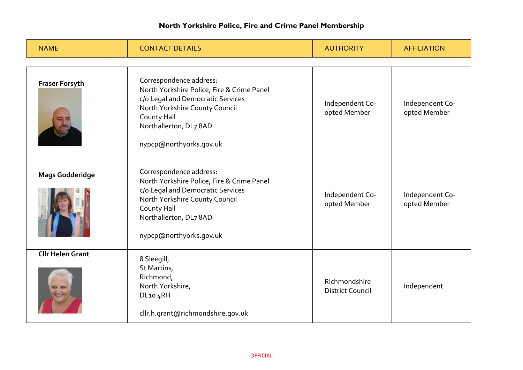| <b>NAME</b>             | <b>CONTACT DETAILS</b>                                                                                                                                                                                           | <b>AUTHORITY</b>                         | <b>AFFILIATION</b>              |
|-------------------------|------------------------------------------------------------------------------------------------------------------------------------------------------------------------------------------------------------------|------------------------------------------|---------------------------------|
| <b>Fraser Forsyth</b>   | Correspondence address:<br>North Yorkshire Police, Fire & Crime Panel<br>c/o Legal and Democratic Services<br>North Yorkshire County Council<br>County Hall<br>Northallerton, DL7 8AD<br>nypcp@northyorks.gov.uk | Independent Co-<br>opted Member          | Independent Co-<br>opted Member |
| <b>Mags Godderidge</b>  | Correspondence address:<br>North Yorkshire Police, Fire & Crime Panel<br>c/o Legal and Democratic Services<br>North Yorkshire County Council<br>County Hall<br>Northallerton, DL7 8AD<br>nypcp@northyorks.gov.uk | Independent Co-<br>opted Member          | Independent Co-<br>opted Member |
| <b>Cllr Helen Grant</b> | 8 Sleegill,<br>St Martins,<br>Richmond,<br>North Yorkshire,<br>DL10 4RH<br>cllr.h.grant@richmondshire.gov.uk                                                                                                     | Richmondshire<br><b>District Council</b> | Independent                     |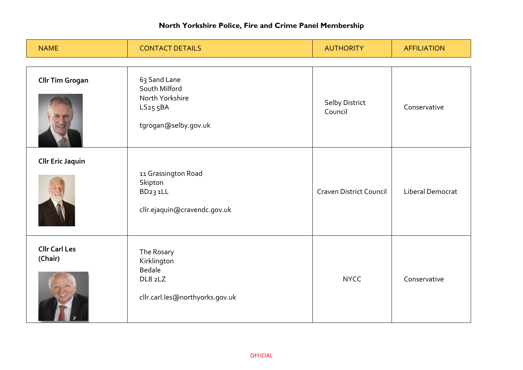| <b>NAME</b>                     | <b>CONTACT DETAILS</b>                                                                           | <b>AUTHORITY</b>               | <b>AFFILIATION</b> |
|---------------------------------|--------------------------------------------------------------------------------------------------|--------------------------------|--------------------|
| <b>Cllr Tim Grogan</b>          | 63 Sand Lane<br>South Milford<br>North Yorkshire<br>LS <sub>25</sub> 5BA<br>tgrogan@selby.gov.uk | Selby District<br>Council      | Conservative       |
| <b>Cllr Eric Jaquin</b>         | 11 Grassington Road<br>Skipton<br>BD <sub>23</sub> 1LL<br>cllr.ejaquin@cravendc.gov.uk           | <b>Craven District Council</b> | Liberal Democrat   |
| <b>Cllr Carl Les</b><br>(Chair) | The Rosary<br>Kirklington<br>Bedale<br>DL8 2LZ<br>cllr.carl.les@northyorks.gov.uk                | <b>NYCC</b>                    | Conservative       |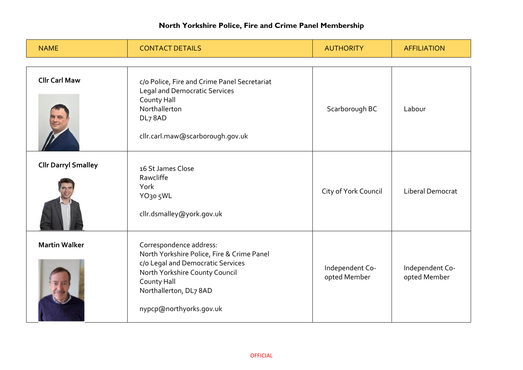| <b>NAME</b>                | <b>CONTACT DETAILS</b>                                                                                                                                                                                           | <b>AUTHORITY</b>                | <b>AFFILIATION</b>              |
|----------------------------|------------------------------------------------------------------------------------------------------------------------------------------------------------------------------------------------------------------|---------------------------------|---------------------------------|
| <b>Cllr Carl Maw</b>       | c/o Police, Fire and Crime Panel Secretariat<br><b>Legal and Democratic Services</b><br>County Hall<br>Northallerton<br>DL <sub>7</sub> 8AD<br>cllr.carl.maw@scarborough.gov.uk                                  | Scarborough BC                  | Labour                          |
| <b>Cllr Darryl Smalley</b> | 16 St James Close<br>Rawcliffe<br>York<br>YO30 5WL<br>cllr.dsmalley@york.gov.uk                                                                                                                                  | City of York Council            | <b>Liberal Democrat</b>         |
| <b>Martin Walker</b>       | Correspondence address:<br>North Yorkshire Police, Fire & Crime Panel<br>c/o Legal and Democratic Services<br>North Yorkshire County Council<br>County Hall<br>Northallerton, DL7 8AD<br>nypcp@northyorks.gov.uk | Independent Co-<br>opted Member | Independent Co-<br>opted Member |